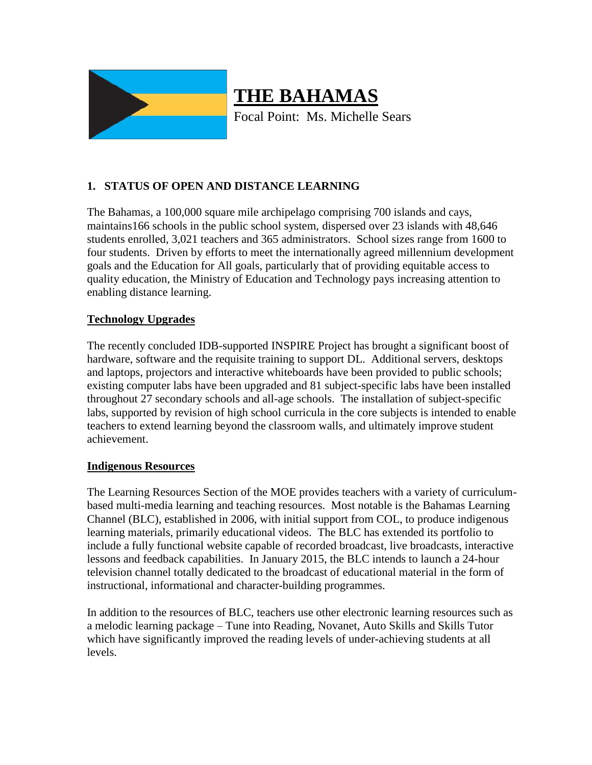

# **THE BAHAMAS**

Focal Point: Ms. Michelle Sears

# **1. STATUS OF OPEN AND DISTANCE LEARNING**

The Bahamas, a 100,000 square mile archipelago comprising 700 islands and cays, maintains166 schools in the public school system, dispersed over 23 islands with 48,646 students enrolled, 3,021 teachers and 365 administrators. School sizes range from 1600 to four students. Driven by efforts to meet the internationally agreed millennium development goals and the Education for All goals, particularly that of providing equitable access to quality education, the Ministry of Education and Technology pays increasing attention to enabling distance learning.

### **Technology Upgrades**

The recently concluded IDB-supported INSPIRE Project has brought a significant boost of hardware, software and the requisite training to support DL. Additional servers, desktops and laptops, projectors and interactive whiteboards have been provided to public schools; existing computer labs have been upgraded and 81 subject-specific labs have been installed throughout 27 secondary schools and all-age schools. The installation of subject-specific labs, supported by revision of high school curricula in the core subjects is intended to enable teachers to extend learning beyond the classroom walls, and ultimately improve student achievement.

#### **Indigenous Resources**

The Learning Resources Section of the MOE provides teachers with a variety of curriculumbased multi-media learning and teaching resources. Most notable is the Bahamas Learning Channel (BLC), established in 2006, with initial support from COL, to produce indigenous learning materials, primarily educational videos. The BLC has extended its portfolio to include a fully functional website capable of recorded broadcast, live broadcasts, interactive lessons and feedback capabilities. In January 2015, the BLC intends to launch a 24-hour television channel totally dedicated to the broadcast of educational material in the form of instructional, informational and character-building programmes.

In addition to the resources of BLC, teachers use other electronic learning resources such as a melodic learning package – Tune into Reading, Novanet, Auto Skills and Skills Tutor which have significantly improved the reading levels of under-achieving students at all levels.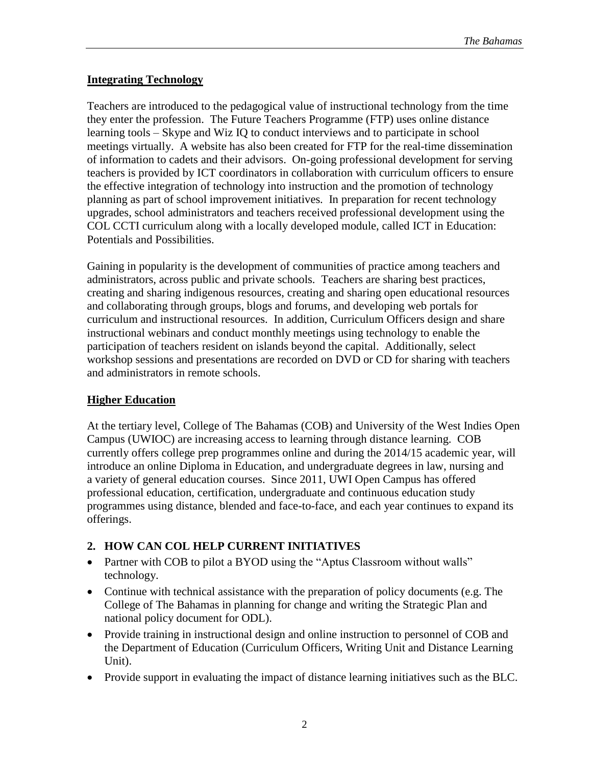#### **Integrating Technology**

Teachers are introduced to the pedagogical value of instructional technology from the time they enter the profession. The Future Teachers Programme (FTP) uses online distance learning tools – Skype and Wiz IQ to conduct interviews and to participate in school meetings virtually. A website has also been created for FTP for the real-time dissemination of information to cadets and their advisors. On-going professional development for serving teachers is provided by ICT coordinators in collaboration with curriculum officers to ensure the effective integration of technology into instruction and the promotion of technology planning as part of school improvement initiatives. In preparation for recent technology upgrades, school administrators and teachers received professional development using the COL CCTI curriculum along with a locally developed module, called ICT in Education: Potentials and Possibilities.

Gaining in popularity is the development of communities of practice among teachers and administrators, across public and private schools. Teachers are sharing best practices, creating and sharing indigenous resources, creating and sharing open educational resources and collaborating through groups, blogs and forums, and developing web portals for curriculum and instructional resources. In addition, Curriculum Officers design and share instructional webinars and conduct monthly meetings using technology to enable the participation of teachers resident on islands beyond the capital. Additionally, select workshop sessions and presentations are recorded on DVD or CD for sharing with teachers and administrators in remote schools.

#### **Higher Education**

At the tertiary level, College of The Bahamas (COB) and University of the West Indies Open Campus (UWIOC) are increasing access to learning through distance learning. COB currently offers college prep programmes online and during the 2014/15 academic year, will introduce an online Diploma in Education, and undergraduate degrees in law, nursing and a variety of general education courses. Since 2011, UWI Open Campus has offered professional education, certification, undergraduate and continuous education study programmes using distance, blended and face-to-face, and each year continues to expand its offerings.

## **2. HOW CAN COL HELP CURRENT INITIATIVES**

- Partner with COB to pilot a BYOD using the "Aptus Classroom without walls" technology.
- Continue with technical assistance with the preparation of policy documents (e.g. The College of The Bahamas in planning for change and writing the Strategic Plan and national policy document for ODL).
- Provide training in instructional design and online instruction to personnel of COB and the Department of Education (Curriculum Officers, Writing Unit and Distance Learning Unit).
- Provide support in evaluating the impact of distance learning initiatives such as the BLC.